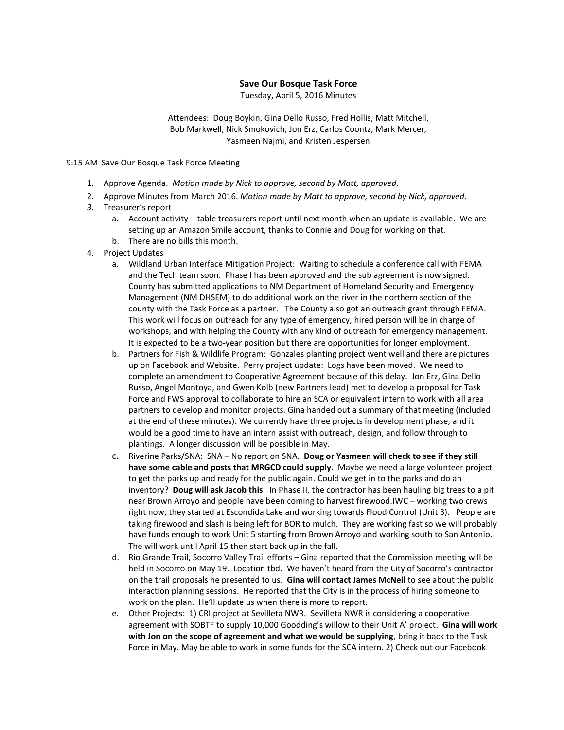## **Save Our Bosque Task Force**

Tuesday, April 5, 2016 Minutes

Attendees: Doug Boykin, Gina Dello Russo, Fred Hollis, Matt Mitchell, Bob Markwell, Nick Smokovich, Jon Erz, Carlos Coontz, Mark Mercer, Yasmeen Najmi, and Kristen Jespersen

9:15 AM Save Our Bosque Task Force Meeting

- 1. Approve Agenda. *Motion made by Nick to approve, second by Matt, approved*.
- 2. Approve Minutes from March 2016. *Motion made by Matt to approve, second by Nick, approved*.
- *3.* Treasurer's report
	- a. Account activity table treasurers report until next month when an update is available. We are setting up an Amazon Smile account, thanks to Connie and Doug for working on that.
	- b. There are no bills this month.
- 4. Project Updates
	- a. Wildland Urban Interface Mitigation Project: Waiting to schedule a conference call with FEMA and the Tech team soon. Phase I has been approved and the sub agreement is now signed. County has submitted applications to NM Department of Homeland Security and Emergency Management (NM DHSEM) to do additional work on the river in the northern section of the county with the Task Force as a partner. The County also got an outreach grant through FEMA. This work will focus on outreach for any type of emergency, hired person will be in charge of workshops, and with helping the County with any kind of outreach for emergency management. It is expected to be a two-year position but there are opportunities for longer employment.
	- b. Partners for Fish & Wildlife Program: Gonzales planting project went well and there are pictures up on Facebook and Website. Perry project update: Logs have been moved. We need to complete an amendment to Cooperative Agreement because of this delay. Jon Erz, Gina Dello Russo, Angel Montoya, and Gwen Kolb (new Partners lead) met to develop a proposal for Task Force and FWS approval to collaborate to hire an SCA or equivalent intern to work with all area partners to develop and monitor projects. Gina handed out a summary of that meeting (included at the end of these minutes). We currently have three projects in development phase, and it would be a good time to have an intern assist with outreach, design, and follow through to plantings. A longer discussion will be possible in May.
	- c. Riverine Parks/SNA: SNA No report on SNA. **Doug or Yasmeen will check to see if they still have some cable and posts that MRGCD could supply**. Maybe we need a large volunteer project to get the parks up and ready for the public again. Could we get in to the parks and do an inventory? **Doug will ask Jacob this**. In Phase II, the contractor has been hauling big trees to a pit near Brown Arroyo and people have been coming to harvest firewood.IWC – working two crews right now, they started at Escondida Lake and working towards Flood Control (Unit 3). People are taking firewood and slash is being left for BOR to mulch. They are working fast so we will probably have funds enough to work Unit 5 starting from Brown Arroyo and working south to San Antonio. The will work until April 15 then start back up in the fall.
	- d. Rio Grande Trail, Socorro Valley Trail efforts Gina reported that the Commission meeting will be held in Socorro on May 19. Location tbd. We haven't heard from the City of Socorro's contractor on the trail proposals he presented to us. **Gina will contact James McNeil** to see about the public interaction planning sessions. He reported that the City is in the process of hiring someone to work on the plan. He'll update us when there is more to report.
	- e. Other Projects: 1) CRI project at Sevilleta NWR. Sevilleta NWR is considering a cooperative agreement with SOBTF to supply 10,000 Goodding's willow to their Unit A' project. **Gina will work with Jon on the scope of agreement and what we would be supplying**, bring it back to the Task Force in May. May be able to work in some funds for the SCA intern. 2) Check out our Facebook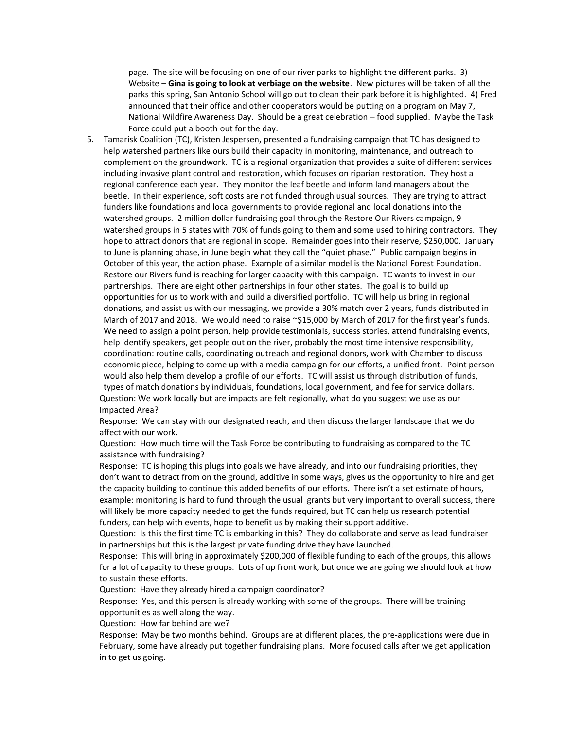page. The site will be focusing on one of our river parks to highlight the different parks. 3) Website – **Gina is going to look at verbiage on the website**. New pictures will be taken of all the parks this spring, San Antonio School will go out to clean their park before it is highlighted. 4) Fred announced that their office and other cooperators would be putting on a program on May 7, National Wildfire Awareness Day. Should be a great celebration – food supplied. Maybe the Task Force could put a booth out for the day.

5. Tamarisk Coalition (TC), Kristen Jespersen, presented a fundraising campaign that TC has designed to help watershed partners like ours build their capacity in monitoring, maintenance, and outreach to complement on the groundwork. TC is a regional organization that provides a suite of different services including invasive plant control and restoration, which focuses on riparian restoration. They host a regional conference each year. They monitor the leaf beetle and inform land managers about the beetle. In their experience, soft costs are not funded through usual sources. They are trying to attract funders like foundations and local governments to provide regional and local donations into the watershed groups. 2 million dollar fundraising goal through the Restore Our Rivers campaign, 9 watershed groups in 5 states with 70% of funds going to them and some used to hiring contractors. They hope to attract donors that are regional in scope. Remainder goes into their reserve, \$250,000. January to June is planning phase, in June begin what they call the "quiet phase." Public campaign begins in October of this year, the action phase. Example of a similar model is the National Forest Foundation. Restore our Rivers fund is reaching for larger capacity with this campaign. TC wants to invest in our partnerships. There are eight other partnerships in four other states. The goal is to build up opportunities for us to work with and build a diversified portfolio. TC will help us bring in regional donations, and assist us with our messaging, we provide a 30% match over 2 years, funds distributed in March of 2017 and 2018. We would need to raise ~\$15,000 by March of 2017 for the first year's funds. We need to assign a point person, help provide testimonials, success stories, attend fundraising events, help identify speakers, get people out on the river, probably the most time intensive responsibility, coordination: routine calls, coordinating outreach and regional donors, work with Chamber to discuss economic piece, helping to come up with a media campaign for our efforts, a unified front. Point person would also help them develop a profile of our efforts. TC will assist us through distribution of funds, types of match donations by individuals, foundations, local government, and fee for service dollars. Question: We work locally but are impacts are felt regionally, what do you suggest we use as our Impacted Area?

Response: We can stay with our designated reach, and then discuss the larger landscape that we do affect with our work.

Question: How much time will the Task Force be contributing to fundraising as compared to the TC assistance with fundraising?

Response: TC is hoping this plugs into goals we have already, and into our fundraising priorities, they don't want to detract from on the ground, additive in some ways, gives us the opportunity to hire and get the capacity building to continue this added benefits of our efforts. There isn't a set estimate of hours, example: monitoring is hard to fund through the usual grants but very important to overall success, there will likely be more capacity needed to get the funds required, but TC can help us research potential funders, can help with events, hope to benefit us by making their support additive.

Question: Is this the first time TC is embarking in this? They do collaborate and serve as lead fundraiser in partnerships but this is the largest private funding drive they have launched.

Response: This will bring in approximately \$200,000 of flexible funding to each of the groups, this allows for a lot of capacity to these groups. Lots of up front work, but once we are going we should look at how to sustain these efforts.

Question: Have they already hired a campaign coordinator?

Response: Yes, and this person is already working with some of the groups. There will be training opportunities as well along the way.

Question: How far behind are we?

Response: May be two months behind. Groups are at different places, the pre-applications were due in February, some have already put together fundraising plans. More focused calls after we get application in to get us going.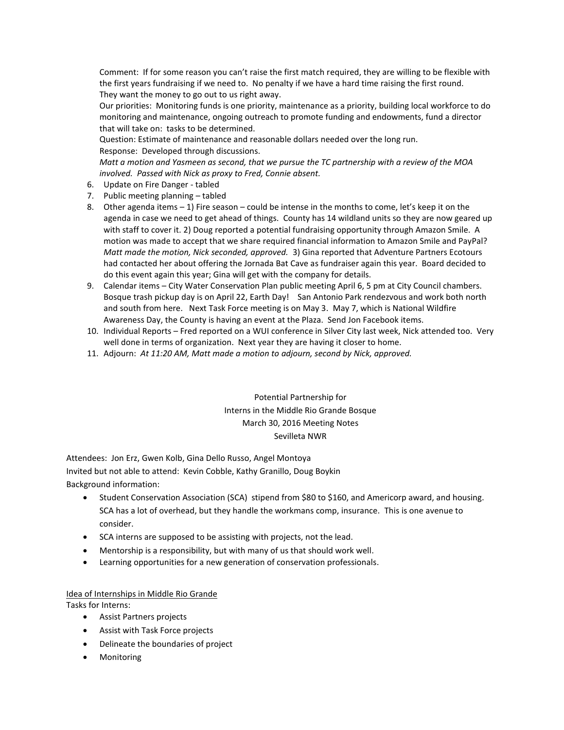Comment: If for some reason you can't raise the first match required, they are willing to be flexible with the first years fundraising if we need to. No penalty if we have a hard time raising the first round. They want the money to go out to us right away.

Our priorities: Monitoring funds is one priority, maintenance as a priority, building local workforce to do monitoring and maintenance, ongoing outreach to promote funding and endowments, fund a director that will take on: tasks to be determined.

Question: Estimate of maintenance and reasonable dollars needed over the long run.

Response: Developed through discussions.

*Matt a motion and Yasmeen as second, that we pursue the TC partnership with a review of the MOA involved. Passed with Nick as proxy to Fred, Connie absent.*

- 6. Update on Fire Danger tabled
- 7. Public meeting planning tabled
- 8. Other agenda items 1) Fire season could be intense in the months to come, let's keep it on the agenda in case we need to get ahead of things. County has 14 wildland units so they are now geared up with staff to cover it. 2) Doug reported a potential fundraising opportunity through Amazon Smile. A motion was made to accept that we share required financial information to Amazon Smile and PayPal? *Matt made the motion, Nick seconded, approved.* 3) Gina reported that Adventure Partners Ecotours had contacted her about offering the Jornada Bat Cave as fundraiser again this year. Board decided to do this event again this year; Gina will get with the company for details.
- 9. Calendar items City Water Conservation Plan public meeting April 6, 5 pm at City Council chambers. Bosque trash pickup day is on April 22, Earth Day! San Antonio Park rendezvous and work both north and south from here. Next Task Force meeting is on May 3. May 7, which is National Wildfire Awareness Day, the County is having an event at the Plaza. Send Jon Facebook items.
- 10. Individual Reports Fred reported on a WUI conference in Silver City last week, Nick attended too. Very well done in terms of organization. Next year they are having it closer to home.
- 11. Adjourn: *At 11:20 AM, Matt made a motion to adjourn, second by Nick, approved.*

Potential Partnership for Interns in the Middle Rio Grande Bosque March 30, 2016 Meeting Notes Sevilleta NWR

Attendees: Jon Erz, Gwen Kolb, Gina Dello Russo, Angel Montoya Invited but not able to attend: Kevin Cobble, Kathy Granillo, Doug Boykin Background information:

- Student Conservation Association (SCA) stipend from \$80 to \$160, and Americorp award, and housing. SCA has a lot of overhead, but they handle the workmans comp, insurance. This is one avenue to consider.
- SCA interns are supposed to be assisting with projects, not the lead.
- Mentorship is a responsibility, but with many of us that should work well.
- Learning opportunities for a new generation of conservation professionals.

## Idea of Internships in Middle Rio Grande

Tasks for Interns:

- Assist Partners projects
- Assist with Task Force projects
- Delineate the boundaries of project
- Monitoring